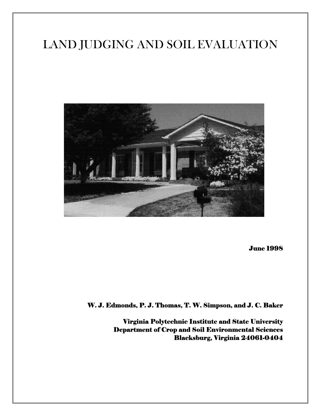# LAND JUDGING AND SOIL EVALUATION



June 1998

W. J. Edmonds, P. J. Thomas, T. W. Simpson, and J. C. Baker

 Virginia Polytechnic Institute and State University Department of Crop and Soil Environmental Sciences Blacksburg, Virginia 24061-0404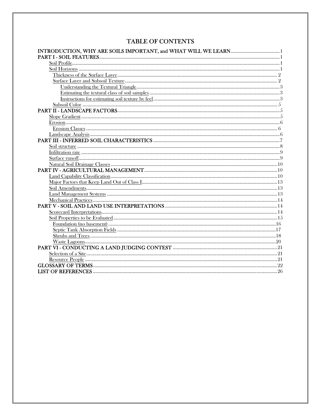## **TABLE OF CONTENTS**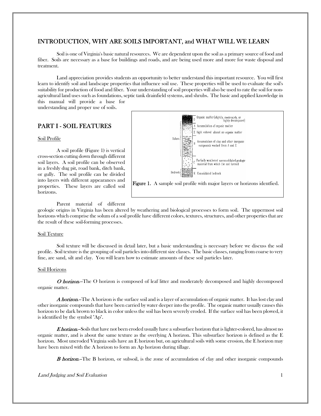## INTRODUCTION, WHY ARE SOILS IMPORTANT, and WHAT WILL WE LEARN

Soil is one of Virginia's basic natural resources. We are dependent upon the soil as a primary source of food and fiber. Soils are necessary as a base for buildings and roads, and are being used more and more for waste disposal and treatment.

Land appreciation provides students an opportunity to better understand this important resource. You will first learn to identify soil and landscape properties that influence soil use. These properties will be used to evaluate the soil's suitability for production of food and fiber. Your understanding of soil properties will also be used to rate the soil for nonagricultural land uses such as foundations, septic tank drainfield systems, and shrubs. The basic and applied knowledge in this manual will provide a base for

understanding and proper use of soils.

## PART I - SOIL FEATURES

### Soil Profile

A soil profile (Figure 1) is vertical cross-section cutting down through different soil layers. A soil profile can be observed in a freshly dug pit, road bank, ditch bank, or gully. The soil profile can be divided into layers with different appearances and properties. These layers are called soil horizons.



## Parent material of different

geologic origins in Virginia has been altered by weathering and biological processes to form soil. The uppermost soil horizons which comprise the solum of a soil profile have different colors, textures, structures, and other properties that are the result of these soil-forming processes.

### Soil Texture

Soil texture will be discussed in detail later, but a basic understanding is necessary before we discuss the soil profile. Soil texture is the grouping of soil particles into different size classes. The basic classes, ranging from coarse to very fine, are sand, silt and clay. You will learn how to estimate amounts of these soil particles later.

### Soil Horizons

O horizon.-The O horizon is composed of leaf litter and moderately decomposed and highly decomposed organic matter.

A horizon.-The A horizon is the surface soil and is a layer of accumulation of organic matter. It has lost clay and other inorganic compounds that have been carried by water deeper into the profile. The organic matter usually causes this horizon to be dark brown to black in color unless the soil has been severely eroded. If the surface soil has been plowed, it is identified by the symbol "Ap".

E horizon.--Soils that have not been eroded usually have a subsurface horizon that is lighter-colored, has almost no organic matter, and is about the same texture as the overlying A horizon. This subsurface horizon is defined as the E horizon. Most uneroded Virginia soils have an E horizon but, on agricultural soils with some erosion, the E horizon may have been mixed with the A horizon to form an Ap horizon during tillage.

**B horizon.**-The B horizon, or subsoil, is the zone of accumulation of clay and other inorganic compounds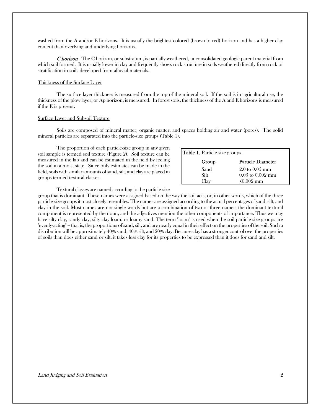washed from the A and/or E horizons. It is usually the brightest colored (brown to red) horizon and has a higher clay content than overlying and underlying horizons.

**Chorizon.**--The C horizon, or substratum, is partially weathered, unconsolidated geologic parent material from which soil formed. It is usually lower in clay and frequently shows rock structure in soils weathered directly from rock or stratification in soils developed from alluvial materials.

#### Thickness of the Surface Layer

The surface layer thickness is measured from the top of the mineral soil. If the soil is in agricultural use, the thickness of the plow layer, or Ap horizon, is measured. In forest soils, the thickness of the A and E horizons is measured if the E is present.

### Surface Layer and Subsoil Texture

Soils are composed of mineral matter, organic matter, and spaces holding air and water (pores). The solid mineral particles are separated into the particle-size groups (Table 1).

The proportion of each particle-size group in any given soil sample is termed soil texture (Figure 2). Soil texture can be measured in the lab and can be estimated in the field by feeling the soil in a moist state. Since only estimates can be made in the field, soils with similar amounts of sand, silt, and clay are placed in groups termed textural classes.

| Table 1. Particle-size groups. |                      |  |  |
|--------------------------------|----------------------|--|--|
| Group                          | Particle Diameter    |  |  |
| Sand                           | 2.0 to $0.05$ mm     |  |  |
| Silt                           | $0.05$ to $0.002$ mm |  |  |
| Clav                           | $50.002$ mm          |  |  |

Textural classes are named according to the particle-size

group that is dominant. These names were assigned based on the way the soil acts, or, in other words, which of the three particle-size groups it most closely resembles. The names are assigned according to the actual percentages of sand, silt, and clay in the soil. Most names are not single words but are a combination of two or three names; the dominant textural component is represented by the noun, and the adjectives mention the other components of importance. Thus we may have silty clay, sandy clay, silty clay loam, or loamy sand. The term "loam" is used when the soil-particle-size groups are "evenly-acting" -- that is, the proportions of sand, silt, and are nearly equal in their effect on the properties of the soil. Such a distribution will be approximately 40% sand, 40% silt, and 20% clay. Because clay has a stronger control over the properties of soils than does either sand or silt, it takes less clay for its properties to be expressed than it does for sand and silt.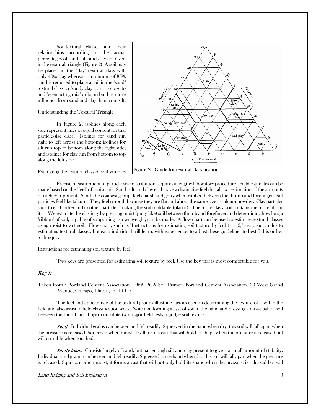Soil-textural classes and their relationships according to the actual percentages of sand, silt, and clay are given in the textural triangle (Figure 2). A soil may be placed in the "clay" textural class with only 40% clay whereas a minimum of 85% sand is required to place a soil in the "sand" textural class. A "sandy clay loam" is close to and "even-acting mix" or loam but has more influence from sand and clay than from silt.

### Understanding the Textural Triangle

In Figure 2, isolines along each side represent lines of equal content for that particle-size class. Isolines for sand run right to left across the bottom; isolines for silt run top to bottom along the right side; and isolines for clay run from bottom to top along the left side.

### Estimating the textural class of soil samples



Precise measurement of particle-size distribution requires a lengthy laboratory procedure. Field estimates can be made based on the "feel" of moist soil. Sand, silt, and clay each have a distinctive feel that allows estimation of the amounts of each component. Sand, the coarsest group, feels harsh and gritty when rubbed between the thumb and forefinger. Silt particles feel like talcum. They feel smooth because they are flat and about the same size as talcum powder. Clay particles stick to each other and to other particles, making the soil moldable (plastic). The more clay a soil contains the more plastic it is. We estimate the elasticity by pressing moist (putty-like) soil between thumb and forefinger and determining how long a "ribbon" of soil, capable of supporting its own weight, can be made. A flow chart can be used to estimate textural classes using moist to wet soil. Flow chart, such as "Instructions for estimating soil texture by feel 1 or 2," are good guides to estimating textural classes, but each individual will learn, with experience, to adjust these guidelines to best fit his or her technique.

### Instructions for estimating soil texture by feel

Two keys are presented for estimating soil texture by feel. Use the key that is most comfortable for you.

### Key 1:

Taken from : Portland Cement Association. 1962. PCA Soil Primer. Portland Cement Association, 33 West Grand Avenue, Chicago, Illinois, p. 10-11)

The feel and appearance of the textural groups illustrate factors used in determining the texture of a soil in the field and also assist in field classification work. Note that forming a cast of soil in the hand and pressing a moist ball of soil between the thumb and finger constitute two major field tests to judge soil texture.

Sand.-Individual grains can be seen and felt readily. Squeezed in the hand when dry, this soil will fall apart when the pressure is released. Squeezed when moist, it will form a cast that will hold its shape when the pressure is released but will crumble when touched.

**Sandy loam.--Consists largely of sand, but has enough silt and clay present to give it a small amount of stability.** Individual sand grains can be seen and felt readily. Squeezed in the hand when dry, this soil will fall apart when the pressure is released. Squeezed when moist, it forms a cast that will not only hold its shape when the pressure is released but will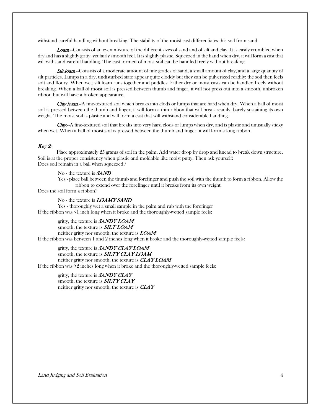withstand careful handling without breaking. The stability of the moist cast differentiates this soil from sand.

**Loam.--Consists of an even mixture of the different sizes of sand and of silt and clay. It is easily crumbled when** dry and has a slightly gritty, yet fairly smooth feel. It is slightly plastic. Squeezed in the hand when dry, it will form a cast that will withstand careful handling. The cast formed of moist soil can be handled freely without breaking.

Silt loam.--Consists of a moderate amount of fine grades of sand, a small amount of clay, and a large quantity of silt particles. Lumps in a dry, undisturbed state appear quite cloddy but they can be pulverized readily; the soil then feels soft and floury. When wet, silt loam runs together and puddles. Either dry or moist casts can be handled freely without breaking. When a ball of moist soil is pressed between thumb and finger, it will not press out into a smooth, unbroken ribbon but will have a broken appearance.

Clay loam.--A fine-textured soil which breaks into clods or lumps that are hard when dry. When a ball of moist soil is pressed between the thumb and finger, it will form a thin ribbon that will break readily, barely sustaining its own weight. The moist soil is plastic and will form a cast that will withstand considerable handling.

 $Clay$ --A fine-textured soil that breaks into very hard clods or lumps when dry, and is plastic and unusually sticky when wet. When a ball of moist soil is pressed between the thumb and finger, it will form a long ribbon.

### $Key 2:$

Place approximately 25 grams of soil in the palm. Add water drop by drop and knead to break down structure. Soil is at the proper consistency when plastic and moldable like moist putty. Then ask yourself: Does soil remain in a ball when squeezed?

### No - the texture is **SAND**

 Yes - place ball between the thumb and forefinger and push the soil with the thumb to form a ribbon. Allow the ribbon to extend over the forefinger until it breaks from its own weight.

Does the soil form a ribbon?

### No - the texture is **LOAMY SAND**

 Yes - thoroughly wet a small sample in the palm and rub with the forefinger If the ribbon was <1 inch long when it broke and the thoroughly-wetted sample feels:

gritty, the texture is **SANDY LOAM** smooth, the texture is **SILT LOAM** neither gritty nor smooth, the texture is  $LOAM$ If the ribbon was between 1 and 2 inches long when it broke and the thoroughly-wetted sample feels:

gritty, the texture is **SANDY CLAY LOAM** smooth, the texture is **SILTY CLAY LOAM** neither gritty nor smooth, the texture is **CLAY LOAM** 

If the ribbon was >2 inches long when it broke and the thoroughly-wetted sample feels:

gritty, the texture is **SANDY CLAY** smooth, the texture is **SILTY CLAY** neither gritty nor smooth, the texture is  $CLAY$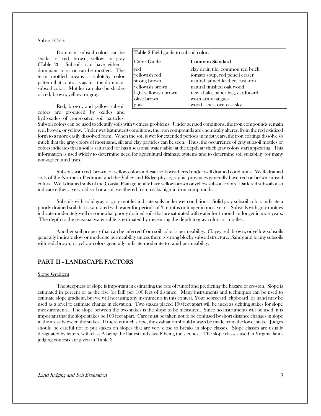### Subsoil Color

Dominant subsoil colors can be shades of red, brown, yellow, or gray (Table 2). Subsoils can have either a dominant color or can be mottled. The term mottled means a splotchy color pattern that contrasts against the dominant subsoil color. Mottles can also be shades of red, brown, yellow, or gray.

Red, brown, and yellow subsoil colors are produced by oxides and hydroxides of iron-coated soil particles.

### Table 2 Field guide to subsoil color.

| $\frac{1}{2}$ where $\frac{1}{2}$ and $\frac{1}{2}$ is the second coron . |                                   |  |
|---------------------------------------------------------------------------|-----------------------------------|--|
| <b>Color Guide</b>                                                        | <b>Common Standard</b>            |  |
| red                                                                       | clay drain tile, common red brick |  |
| yellowish red                                                             | tomato soup, red pencil eraser    |  |
| strong brown                                                              | natural tanned leather, rust iron |  |
| yellowish brown                                                           | natural finished oak wood         |  |
| light yellowish brown                                                     | new khaki, paper bag, cardboard   |  |
| olive brown                                                               | worn army fatigues                |  |
| gray                                                                      | wood ashes, overcast sky          |  |

Subsoil colors can be used to identify soils with wetness problems. Under aerated conditions, the iron compounds remain red, brown, or yellow. Under wet (saturated) conditions, the iron compounds are chemically altered from the red oxidized form to a more easily dissolved form. When the soil is wet for extended periods in most years, the iron coatings dissolve so much that the gray colors of most sand, silt and clay particles can be seen. Thus, the occurrence of gray subsoil mottles or colors indicates that a soil is saturated (or has a seasonal water table) at the depth at which gray colors start appearing. This information is used widely to determine need for agricultural drainage systems and to determine soil suitability for many non-agricultural uses.

Subsoils with red, brown, or yellow colors indicate soils weathered under well drained conditions. Well- drained soils of the Northern Piedmont and the Valley and Ridge physiographic provinces generally have red or brown subsoil colors. Well-drained soils of the Coastal Plain generally have yellow-brown or yellow subsoil colors. Dark red subsoils also indicate either a very old soil or a soil weathered from rocks high in iron compounds.

Subsoils with solid gray or gray mottles indicate soils under wet conditions. Solid gray subsoil colors indicate a poorly drained soil that is saturated with water for periods of 3 months or longer in most years. Subsoils with gray mottles indicate moderately well or somewhat poorly drained soils that are saturated with water for 1 month or longer in most years. The depth to the seasonal water table is estimated by measuring the depth to gray colors or mottles.

Another soil property that can be inferred from soil color is permeability. Clayey red, brown, or yellow subsoils generally indicate slow or moderate permeability unless there is strong blocky subsoil structure. Sandy and loamy subsoils with red, brown, or yellow colors generally indicate moderate to rapid permeability.

## PART II - LANDSCAPE FACTORS

### Slope Gradient

The steepness of slope is important in estimating the rate of runoff and predicting the hazard of erosion. Slope is estimated in percent or as the rise (or fall) per 100 feet of distance. Many instruments and techniques can be used to estimate slope gradient, but we will not using any instruments in this contest. Your scorecard, clipboard, or hand may be used as a level to estimate change in elevation. Two stakes placed 100 feet apart will be used as sighting stakes for slope measurements. The slope between the two stakes is the slope to be measured. Since no instruments will be used, it is important that the slope stakes be 100 feet apart. Care must be taken not to be confused by short distance changes in slope in the areas between the stakes. If there is much slope, the evaluation should always be made from the lower stake. Judges should be careful not to put stakes on slopes that are very close to breaks in slope classes. Slope classes are usually designated by letters, with class A being the flattest and class F being the steepest. The slope classes used in Virginia landjudging contests are given in Table 3.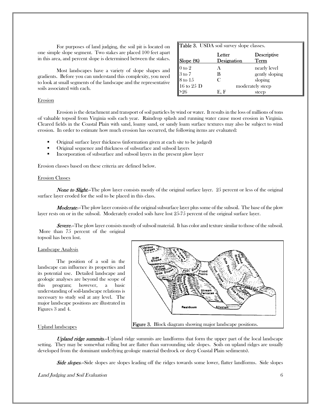For purposes of land judging, the soil pit is located on one simple slope segment. Two stakes are placed 100 feet apart in this area, and percent slope is determined between the stakes.

Most landscapes have a variety of slope shapes and gradients. Before you can understand this complexity, you need to look at small segments of the landscape and the representative soils associated with each.

| <b>Table 3.</b> USDA soil survey slope classes. |                              |                                           |  |  |
|-------------------------------------------------|------------------------------|-------------------------------------------|--|--|
| Slope (%)                                       | Letter<br><b>Designation</b> | <b>Descriptive</b><br>Term                |  |  |
| $0$ to $2$<br>3 to 7<br>8 to 15                 | A<br>В<br>C                  | nearly level<br>gently sloping<br>sloping |  |  |
| 16 to 25 D<br>>26                               | E, F                         | moderately steep<br>steep                 |  |  |

### Erosion

Erosion is the detachment and transport of soil particles by wind or water. It results in the loss of millions of tons of valuable topsoil from Virginia soils each year. Raindrop splash and running water cause most erosion in Virginia. Cleared fields in the Coastal Plain with sand, loamy sand, or sandy loam surface textures may also be subject to wind erosion. In order to estimate how much erosion has occurred, the following items are evaluated:

- Original surface layer thickness (information given at each site to be judged)
- Original sequence and thickness of subsurface and subsoil layers
- Incorporation of subsurface and subsoil layers in the present plow layer

Erosion classes based on these criteria are defined below.

### Erosion Classes

**None to Slight.**-The plow layer consists mostly of the original surface layer. 25 percent or less of the original surface layer eroded for the soil to be placed in this class.

**Moderate.**--The plow layer consists of the original subsurface layer plus some of the subsoil. The base of the plow layer rests on or in the subsoil. Moderately eroded soils have lost 25-75 percent of the original surface layer.

Severe.--The plow layer consists mostly of subsoil material. It has color and texture similar to those of the subsoil. More than 75 percent of the original topsoil has been lost.

### Landscape Analysis

The position of a soil in the landscape can influence its properties and its potential use. Detailed landscape and geologic analyses are beyond the scope of this program; however, a basic understanding of soil-landscape relations is necessary to study soil at any level. The major landscape positions are illustrated in Figures 3 and 4.



### Upland landscapes

Upland ridge summits.--Upland ridge summits are landforms that form the upper part of the local landscape setting. They may be somewhat rolling but are flatter than surrounding side slopes. Soils on upland ridges are usually developed from the dominant underlying geologic material (bedrock or deep Coastal Plain sediments).

**Side slopes.**--Side slopes are slopes leading off the ridges towards some lower, flatter landforms. Side slopes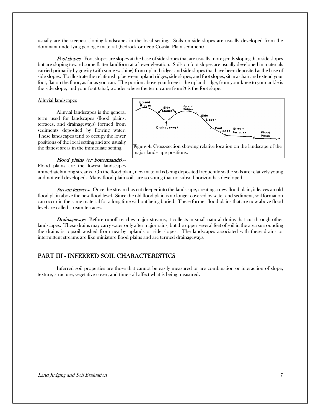usually are the steepest sloping landscapes in the local setting. Soils on side slopes are usually developed from the dominant underlying geologic material (bedrock or deep Coastal Plain sediment).

**Foot slopes.**--Foot slopes are slopes at the base of side slopes that are usually more gently sloping than side slopes but are sloping toward some flatter landform at a lower elevation. Soils on foot slopes are usually developed in materials carried primarily by gravity (with some washing) from upland ridges and side slopes that have been deposited at the base of side slopes. To illustrate the relationship between upland ridges, side slopes, and foot slopes, sit in a chair and extend your foot, flat on the floor, as far as you can. The portion above your knee is the upland ridge, from your knee to your ankle is the side slope, and your foot (aha!, wonder where the term came from?) is the foot slope.

### Alluvial landscapes

Alluvial landscapes is the general term used for landscapes (flood plains, terraces, and drainageways) formed from sediments deposited by flowing water. These landscapes tend to occupy the lower positions of the local setting and are usually the flattest areas in the immediate setting.

Flood plains are the lowest landscapes



### Flood plains (or bottomlands).--

immediately along streams. On the flood plain, new material is being deposited frequently so the soils are relatively young and not well developed. Many flood plain soils are so young that no subsoil horizon has developed.

**Stream terraces.--**Once the stream has cut deeper into the landscape, creating a new flood plain, it leaves an old flood plain above the new flood level. Since the old flood plain is no longer covered by water and sediment, soil formation can occur in the same material for a long time without being buried. These former flood plains that are now above flood level are called stream terraces.

**Drainageways.**--Before runoff reaches major streams, it collects in small natural drains that cut through other landscapes. These drains may carry water only after major rains, but the upper several feet of soil in the area surrounding the drains is topsoil washed from nearby uplands or side slopes. The landscapes associated with these drains or intermittent streams are like miniature flood plains and are termed drainageways.

## PART III - INFERRED SOIL CHARACTERISTICS

Inferred soil properties are those that cannot be easily measured or are combination or interaction of slope, texture, structure, vegetative cover, and time - all affect what is being measured.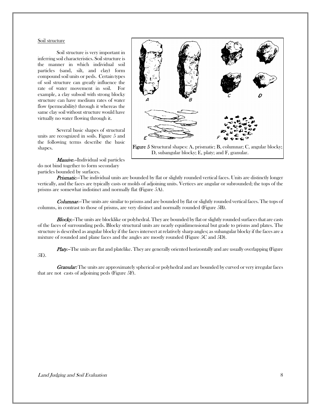### Soil structure

5E).

Soil structure is very important in inferring soil characteristics. Soil structure is the manner in which individual soil particles (sand, silt, and clay) form compound soil units or peds. Certain types of soil structure can greatly influence the rate of water movement in soil. For example, a clay subsoil with strong blocky structure can have medium rates of water flow (permeability) through it whereas the same clay soil without structure would have virtually no water flowing through it.

Several basic shapes of structural units are recognized in soils. Figure 5 and the following terms describe the basic shapes.

Massive.--Individual soil particles do not bind together to form secondary particles bounded by surfaces.



D, subangular blocky; E, platy; and F, granular.

**Prismatic.**--The individual units are bounded by flat or slightly rounded vertical faces. Units are distinctly longer vertically, and the faces are typically casts or molds of adjoining units. Vertices are angular or subrounded; the tops of the prisms are somewhat indistinct and normally flat (Figure 5A).

Columnar.--The units are similar to prisms and are bounded by flat or slightly rounded vertical faces. The tops of columns, in contrast to those of prisms, are very distinct and normally rounded (Figure 5B).

**Blocky**,-The units are blocklike or polyhedral. They are bounded by flat or slightly rounded surfaces that are casts of the faces of surrounding peds. Blocky structural units are nearly equidimensional but grade to prisms and plates. The structure is described as angular blocky if the faces intersect at relatively sharp angles; as subangular blocky if the faces are a mixture of rounded and plane faces and the angles are mostly rounded (Figure 5C and 5D).

Platy.-The units are flat and platelike. They are generally oriented horizontally and are usually overlapping (Figure

**Granular:** The units are approximately spherical or polyhedral and are bounded by curved or very irregular faces that are not casts of adjoining peds (Figure 5F).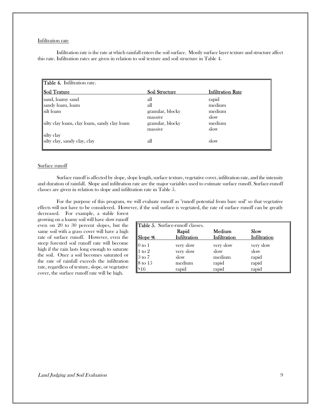### Infiltration rate

Infiltration rate is the rate at which rainfall enters the soil surface. Mostly surface layer texture and structure affect this rate. Infiltration rates are given in relation to soil texture and soil structure in Table 4.

| <b>Table 4.</b> Infiltration rate.          |                       |                          |
|---------------------------------------------|-----------------------|--------------------------|
| <b>Soil Texture</b>                         | <u>Soil Structure</u> | <b>Infiltration Rate</b> |
| sand, loamy sand                            | all                   | rapid                    |
| sandy loam, loam                            | all                   | medium                   |
| silt loam                                   | granular, blocky      | medium                   |
|                                             | massive               | slow                     |
| silty clay loam, clay loam, sandy clay loam | granular, blocky      | medium                   |
|                                             | massive               | slow                     |
| silty clay                                  |                       |                          |
| silty clay, sandy clay, clay                | all                   | slow                     |
|                                             |                       |                          |

### Surface runoff

Surface runoff is affected by slope, slope length, surface texture, vegetative cover, infiltration rate, and the intensity and duration of rainfall. Slope and infiltration rate are the major variables used to estimate surface runoff. Surface-runoff classes are given in relation to slope and infiltration rate in Table 5.

For the purpose of this program, we will evaluate runoff as "runoff potential from bare soil" so that vegetative effects will not have to be considered. However, if the soil surface is vegetated, the rate of surface runoff can be greatly

decreased. For example, a stable forest growing on a loamy soil will have slow runoff even on 20 to 30 percent slopes, but the same soil with a grass cover will have a high rate of surface runoff. However, even the steep forested soil runoff rate will become high if the rain lasts long enough to saturate the soil. Once a soil becomes saturated or the rate of rainfall exceeds the infiltration rate, regardless of texture, slope, or vegetative cover, the surface runoff rate will be high.

|                | Table 5. Surface-runoff classes. |                        |                      |
|----------------|----------------------------------|------------------------|----------------------|
| Slope %        | Rapid<br>Infiltration            | Medium<br>Infiltration | Slow<br>Infiltration |
| $0$ to $1$     | very slow                        | very slow              | very slow            |
| $\vert$ 1 to 2 | very slow                        | slow                   | slow                 |
| $3$ to $7$     | slow                             | medium                 | rapid                |
| $8$ to $15$    | medium                           | rapid                  | rapid                |
| >16            | rapid                            | rapid                  | rapid                |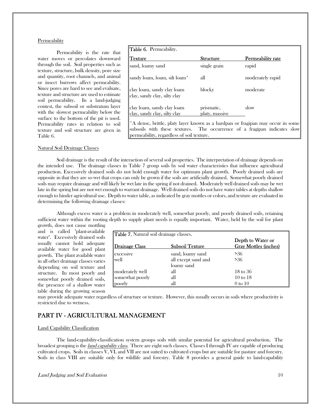### **Permeability**

Permeability is the rate that water moves or percolates downward through the soil. Soil properties such as texture, structure, bulk density, pore size and quantity, root channels, and animal or insect burrows affect permeability. Since pores are hard to see and evaluate, texture and structure are used to estimate soil permeability. In a land-judging contest, the subsoil or substratum layer with the slowest permeability below the surface to the bottom of the pit is used. Permeability rates in relation to soil texture and soil structure are given in Table 6.

## Table 6. Permeability. Texture Structure Permeability rate sand, loamy sand single grain rapid sandy loam, loam, silt loam\* all moderately rapid clay loam, sandy clay loam blocky moderate clay, sandy clay, silty clay clay loam, sandy clay loam prismatic, slow clay, sandy clay, silty clay platy, massive

\*A dense, brittle, platy layer known as a hardpan or fragipan may occur in some subsoils with these textures. The occurrence of a fragipan indicates slow permeability, regardless of soil texture.

### Natural Soil Drainage Classes

Soil drainage is the result of the interaction of several soil properties. The interpretation of drainage depends on the intended use. The drainage classes in Table 7 group soils by soil water characteristics that influence agricultural production. Excessively drained soils do not hold enough water for optimum plant growth. Poorly drained soils are opposite in that they are so wet that crops can only be grown if the soils are artificially drained. Somewhat poorly drained soils may require drainage and will likely be wet late in the spring if not drained. Moderately well drained soils may be wet late in the spring but are not wet enough to warrant drainage. Well drained soils do not have water tables at depths shallow enough to hinder agricultural use. Depth to water table, as indicated by gray mottles or colors, and texture are evaluated in determining the following drainage classes:

Although excess water is a problem in moderately well, somewhat poorly, and poorly drained soils, retaining sufficient water within the rooting depth to supply plant needs is equally important. Water, held by the soil for plant

growth, does not cause mottling and is called "plant-available water". Excessively drained soils usually cannot hold adequate available water for good plant growth. The plant available water in all other drainage classes varies depending on soil texture and structure. In most poorly and somewhat poorly drained soils, the presence of a shallow water table during the growing season

| <b>Table 7.</b> Natural soil drainage classes. |                        |                                                   |  |
|------------------------------------------------|------------------------|---------------------------------------------------|--|
| Drainage Class                                 | <b>Subsoil Texture</b> | Depth to Water or<br><b>Gray Mottles (inches)</b> |  |
| excessive                                      | sand, loamy sand       | >36                                               |  |
| well                                           | all except sand and    | >36                                               |  |
|                                                | loamy sand             |                                                   |  |
| moderately well                                | all                    | 18 to 36                                          |  |
| somewhat poorly                                | all                    | $10 \text{ to } 18$                               |  |
| poorly                                         | all                    | $0$ to $10$                                       |  |

may provide adequate water regardless of structure or texture. However, this usually occurs in soils where productivity is restricted due to wetness.

## PART IV - AGRICULTURAL MANAGEMENT

### Land Capability Classification

The land-capability-classification system groups soils with similar potential for agricultural production. The broadest grouping is the *land capability class*. There are eight such classes. Classes I through IV are capable of producing cultivated crops. Soils in classes V, VI, and VII are not suited to cultivated crops but are suitable for pasture and forestry. Soils in class VIII are suitable only for wildlife and forestry. Table 8 provides a general guide to land-capability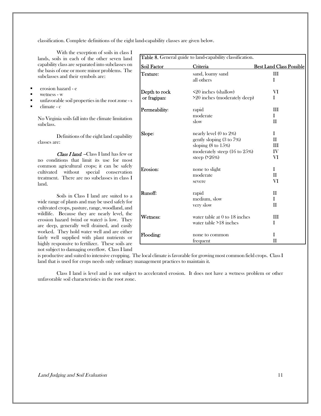classification. Complete definitions of the eight land-capability classes are given below.

With the exception of soils in class I lands, soils in each of the other seven land capability class are separated into subclasses on the basis of one or more minor problems. The subclasses and their symbols are:

- erosion hazard e
- wetness w
- unfavorable soil properties in the root zone s
- climate c

No Virginia soils fall into the climate limitation subclass.

Definitions of the eight land capability classes are:

Class I land. - Class I land has few or no conditions that limit its use for most common agricultural crops; it can be safely cultivated without special conservation treatment. There are no subclasses in class I land.

Soils in Class I land are suited to a wide range of plants and may be used safely for cultivated crops, pasture, range, woodland, and wildlife. Because they are nearly level, the erosion hazard (wind or water) is low. They are deep, generally well drained, and easily worked. They hold water well and are either fairly well supplied with plant nutrients or highly responsive to fertilizer. These soils are not subject to damaging overflow. Class I land

| <b>Soil Factor</b> | Criteria                                 | <b>Best Land Class Possible</b> |
|--------------------|------------------------------------------|---------------------------------|
| Texture:           | sand, loamy sand                         | III                             |
|                    | all others                               | T                               |
| Depth to rock      | $\leq$ 20 inches (shallow)               | VI                              |
| or fragipan:       | >20 inches (moderately deep)             | I                               |
| Permeability:      | rapid                                    | III                             |
|                    | moderate                                 | I                               |
|                    | slow                                     | $_{\rm II}$                     |
| Slope:             | nearly level $(0 \text{ to } 2\%)$       | I                               |
|                    | gently sloping $(3 \text{ to } 7\%)$     | H                               |
|                    | sloping $(8 \text{ to } 15\%)$           | Ш                               |
|                    | moderately steep $(16 \text{ to } 25\%)$ | IV                              |
|                    | steep (>26%)                             | VI                              |
| Erosion:           | none to slight                           | $\mathbf{I}$                    |
|                    | moderate                                 | $\mathbf{I}$                    |
|                    | severe                                   | VI                              |
| Runoff:            | rapid                                    | $\mathbf{I}$                    |
|                    | medium, slow                             | T                               |
|                    | very slow                                | $\mathbf{I}$                    |
| Wetness:           | water table at $0$ to $18$ inches        | III                             |
|                    | water table $>18$ inches                 | T                               |
| Flooding:          | none to common                           | I                               |
|                    | frequent                                 | Н                               |

is productive and suited to intensive cropping. The local climate is favorable for growing most common field crops. Class I land that is used for crops needs only ordinary management practices to maintain it.

Class I land is level and is not subject to accelerated erosion. It does not have a wetness problem or other unfavorable soil characteristics in the root zone.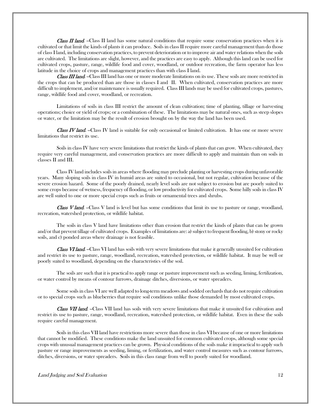**Class II land.** --Class II land has some natural conditions that require some conservation practices when it is cultivated or that limit the kinds of plants it can produce. Soils in class II require more careful management than do those of class I land, including conservation practices, to prevent deterioration or to improve air and water relations when the soils are cultivated. The limitations are slight, however, and the practices are easy to apply. Although this land can be used for cultivated crops, pasture, range, wildlife food and cover, woodland, or outdoor recreation, the farm operator has less latitude in the choice of crops and management practices than with class I land.

Class III land. --Class III land has one or more moderate limitations on its use. These soils are more restricted in the crops that can be produced than are those in classes I and II. When cultivated, conservation practices are more difficult to implement, and/or maintenance is usually required. Class III lands may be used for cultivated crops, pastures, range, wildlife food and cover, woodland, or recreation.

Limitations of soils in class III restrict the amount of clean cultivation; time of planting, tillage or harvesting operations; choice or yield of crops; or a combination of these. The limitations may be natural ones, such as steep slopes or water, or the limitation may be the result of erosion brought on by the way the land has been used.

**Class IV land.** --Class IV land is suitable for only occasional or limited cultivation. It has one or more severe limitations that restrict its use.

Soils in class IV have very severe limitations that restrict the kinds of plants that can grow. When cultivated, they require very careful management, and conservation practices are more difficult to apply and maintain than on soils in classes II and III.

Class IV land includes soils in areas where flooding may preclude planting or harvesting crops during unfavorable years. Many sloping soils in class IV in humid areas are suited to occasional, but not regular, cultivation because of the severe erosion hazard. Some of the poorly drained, nearly level soils are not subject to erosion but are poorly suited to some crops because of wetness, frequency of flooding, or low productivity for cultivated crops. Some hilly soils in class IV are well suited to one or more special crops such as fruits or ornamental trees and shrubs.

**Class V land.** --Class V land is level but has some conditions that limit its use to pasture or range, woodland, recreation, watershed protection, or wildlife habitat.

The soils in class V land have limitations other than erosion that restrict the kinds of plants that can be grown and/or that prevent tillage of cultivated crops. Examples of limitations are: a) subject to frequent flooding, b) stony or rocky soils, and c) ponded areas where drainage is not feasible.

**Class VI land.** --Class VI land has soils with very severe limitations that make it generally unsuited for cultivation and restrict its use to pasture, range, woodland, recreation, watershed protection, or wildlife habitat. It may be well or poorly suited to woodland, depending on the characteristics of the soil.

The soils are such that it is practical to apply range or pasture improvement such as seeding, liming, fertilization, or water control by means of contour furrows, drainage ditches, diversions, or water spreaders.

Some soils in class VI are well adapted to long-term meadows and sodded orchards that do not require cultivation or to special crops such as blueberries that require soil conditions unlike those demanded by most cultivated crops.

Class VII land. --Class VII land has soils with very severe limitations that make it unsuited for cultivation and restrict its use to pasture, range, woodland, recreation, watershed protection, or wildlife habitat. Even in these the soils require careful management.

Soils in this class VII land have restrictions more severe than those in class VI because of one or more limitations that cannot be modified. These conditions make the land unsuited for common cultivated crops, although some special crops with unusual management practices can be grown. Physical conditions of the soils make it impractical to apply such pasture or range improvements as seeding, liming, or fertilization, and water control measures such as contour furrows, ditches, diversions, or water spreaders. Soils in this class range from well to poorly suited for woodland.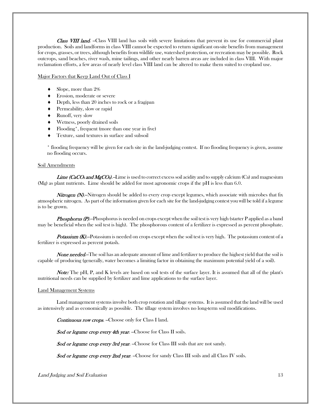**Class VIII land.** --Class VIII land has soils with severe limitations that prevent its use for commercial plant production. Soils and landforms in class VIII cannot be expected to return significant on-site benefits from management for crops, grasses, or trees, although benefits from wildlife use, watershed protection, or recreation may be possible. Rock outcrops, sand beaches, river wash, mine tailings, and other nearly barren areas are included in class VIII. With major reclamation efforts, a few areas of nearly level class VIII land can be altered to make them suited to cropland use.

### Major Factors that Keep Land Out of Class I

- ♦ Slope, more than 2%
- ♦ Erosion, moderate or severe
- ♦ Depth, less than 20 inches to rock or a fragipan
- ♦ Permeability, slow or rapid
- ♦ Runoff, very slow
- ♦ Wetness, poorly drained soils
- $\blacklozenge$  Flooding<sup>\*</sup>, frequent (more than one year in five)
- Texture, sand textures in surface and subsoil

\* flooding frequency will be given for each site in the land-judging contest. If no flooding frequency is given, assume no flooding occurs.

### Soil Amendments

Lime (CaCO<sub>2</sub> and MgCO<sub>3</sub>).--Lime is used to correct excess soil acidity and to supply calcium (Ca) and magnesium (Mg) as plant nutrients. Lime should be added for most agronomic crops if the pH is less than 6.0.

Nitrogen (N).-Nitrogen should be added to every crop except legumes, which associate with microbes that fix atmospheric nitrogen. As part of the information given for each site for the land-judging contest you will be told if a legume is to be grown.

Phosphorus (P).--Phosphorus is needed on crops except when the soil test is very high (starter P applied as a band may be beneficial when the soil test is high). The phosphorous content of a fertilizer is expressed as percent phosphate.

Potassium (K).-Potassium is needed on crops except when the soil test is very high. The potassium content of a fertilizer is expressed as percent potash.

None needed.-The soil has an adequate amount of lime and fertilizer to produce the highest yield that the soil is capable of producing (generally, water becomes a limiting factor in obtaining the maximum potential yield of a soil).

**Note:** The pH, P, and K levels are based on soil tests of the surface layer. It is assumed that all of the plant's nutritional needs can be supplied by fertilizer and lime applications to the surface layer.

### Land Management Systems

Land management systems involve both crop rotation and tillage systems. It is assumed that the land will be used as intensively and as economically as possible. The tillage system involves no long-term soil modifications.

**Continuous row crops.** --Choose only for Class I land.

Sod or legume crop every 4th year. - Choose for Class II soils.

Sod or legume crop every 3rd year. --Choose for Class III soils that are not sandy.

Sod or legume crop every 2nd year. --Choose for sandy Class III soils and all Class IV soils.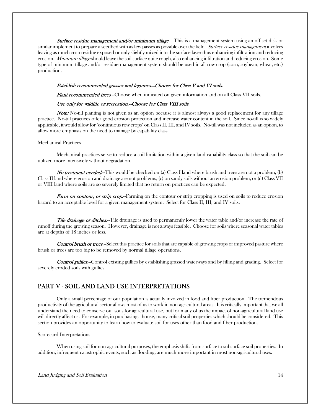Surface residue management and/or minimum tillage. -This is a management system using an off-set disk or similar implement to prepare a seedbed with as few passes as possible over the field. Surface residue management involves leaving as much crop residue exposed or only slightly mixed into the surface layer thus enhancing infiltration and reducing erosion. Minimum tillage should leave the soil surface quite rough, also enhancing infiltration and reducing erosion. Some type of minimum tillage and/or residue management system should be used in all row crop (corn, soybean, wheat, etc.) production.

### Establish recommended grasses and legumes.-Choose for Class V and VI soils.

Plant recommended trees.--Choose when indicated on given information and on all Class VII soils.

### Use only for wildlife or recreation.-Choose for Class VIII soils.

**Note:** No-till planting is not given as an option because it is almost always a good replacement for any tillage practice. No-till practices offer good erosion protection and increase water content in the soil. Since no-till is so widely applicable, it would allow for "continuous row crops" on Class II, III, and IV soils. No-till was not included as an option, to allow more emphasis on the need to manage by capability class.

### Mechanical Practices

Mechanical practices serve to reduce a soil limitation within a given land capability class so that the soil can be utilized more intensively without degradation.

No treatment needed.-This would be checked on (a) Class I land where brush and trees are not a problem, (b) Class II land where erosion and drainage are not problems, (c) on sandy soils without an erosion problem, or (d) Class VII or VIII land where soils are so severely limited that no return on practices can be expected.

Farm on contour, or strip crop.--Farming on the contour or strip cropping is used on soils to reduce erosion hazard to an acceptable level for a given management system. Select for Class II, III, and IV soils.

**Tile drainage or ditches.**--Tile drainage is used to permanently lower the water table and/or increase the rate of runoff during the growing season. However, drainage is not always feasible. Choose for soils where seasonal water tables are at depths of 18 inches or less.

**Control brush or trees.**--Select this practice for soils that are capable of growing crops or improved pasture where brush or trees are too big to be removed by normal tillage operations.

**Control gullies.**--Control existing gullies by establishing grassed waterways and by filling and grading. Select for severely eroded soils with gullies.

## PART V - SOIL AND LAND USE INTERPRETATIONS

Only a small percentage of our population is actually involved in food and fiber production. The tremendous productivity of the agricultural sector allows most of us to work in non-agricultural areas. It is critically important that we all understand the need to conserve our soils for agricultural use, but for many of us the impact of non-agricultural land use will directly affect us. For example, in purchasing a house, many critical soil properties which should be considered. This section provides an opportunity to learn how to evaluate soil for uses other than food and fiber production.

### **Scorecard Interpretations**

When using soil for non-agricultural purposes, the emphasis shifts from surface to subsurface soil properties. In addition, infrequent catastrophic events, such as flooding, are much more important in most non-agricultural uses.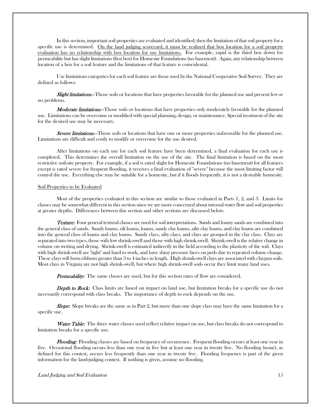In this section, important soil properties are evaluated and identified; then the limitation of that soil property for a specific use is determined. On the land judging scorecard, it must be realized that box location for a soil property evaluation has no relationship with box location for use limitations. For example, rapid is the third box down for permeability but has slight limitations (first box) for Homesite Foundations (no basement). Again, any relationship between location of a box for a soil feature and the limitations of that feature is coincidental.

Use limitations categories for each soil feature are those used by the National Cooperative Soil Survey. They are defined as follows:

**Slight limitations.**--Those soils or locations that have properties favorable for the planned use and present few or no problems.

**Moderate limitations.**-Those soils or locations that have properties only moderately favorable for the planned use. Limitations can be overcome or modified with special planning, design, or maintenance. Special treatment of the site for the desired use may be necessary.

Severe limitations.--Those soils or locations that have one or more properties unfavorable for the planned use. Limitations are difficult and costly to modify or overcome for the use desired.

After limitations on each use for each soil feature have been determined, a final evaluation for each use is completed. This determines the overall limitation on the use of the site. The final limitation is based on the most restrictive soil-site property. For example, if a soil is rated slight for Homesite Foundations (no basement) for all features except is rated severe for frequent flooding, it receives a final evaluation of "severe" because the most limiting factor will control the use. Everything else may be suitable for a homesite, but if it floods frequently, it is not a desirable homesite.

### Soil Properties to be Evaluated

Most of the properties evaluated in this section are similar to those evaluated in Parts 1, 2, and 3. Limits for classes may be somewhat different in this section since we are more concerned about internal water flow and soil properties at greater depths. Differences between this section and other sections are discussed below.

Texture: Four general textural classes are used for soil interpretations. Sands and loamy sands are combined into the general class of sands. Sandy loams, silt loams, loams, sandy clay loams, silty clay loams, and clay loams are combined into the general class of loams and clay loams. Sandy clays, silty clays, and clays are grouped in the clay class. Clays are separated into two types, those with low shrink-swell and those with high shrink-swell. Shrink-swell is the relative change in volume on wetting and drying. Shrink-swell is estimated indirectly in the field according to the plasticity of the soil. Clays with high shrink-swell are "tight" and hard to work, and have shiny pressure faces on peds due to repeated volume change. These clays will form ribbons greater than 3 to 4 inches in length. High shrink-swell clays are associated with claypan soils. Most clays in Virginia are not high shrink-swell, but where high shrink-swell soils occur they limit many land uses.

**Permeability:** The same classes are used, but for this section rates of flow are considered.

**Depth to Rock:** Class limits are based on impact on land use, but limitation breaks for a specific use do not necessarily correspond with class breaks. The importance of depth to rock depends on the use.

Slope: Slope breaks are the same as in Part 2, but more than one slope class may have the same limitation for a specific use.

Water Table: The three water classes used reflect relative impact on use, but class breaks do not correspond to limitation breaks for a specific use.

**Flooding:** Flooding classes are based on frequency of occurrence. Frequent flooding occurs at least one year in five. Occasional flooding occurs less than one year in five but at least one year in twenty five. No flooding (none), as defined for this contest, occurs less frequently than one year in twenty five. Flooding frequency is part of the given information for the land-judging contest. If nothing is given, assume no flooding.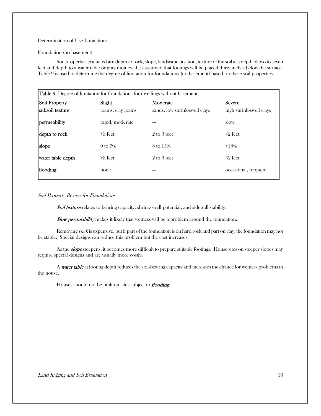### Determination of Use Limitations

### Foundation (no basement)

Soil properties evaluated are depth to rock, slope, landscape position, texture of the soil at a depth of two to seven feet and depth to a water table or gray mottles. It is assumed that footings will be placed thirty inches below the surface. Table 9 is used to determine the degree of limitation for foundations (no basement) based on these soil properties.

| Table 9. Degree of limitation for foundations for dwellings without basements. |                   |                               |                         |  |
|--------------------------------------------------------------------------------|-------------------|-------------------------------|-------------------------|--|
| <b>Soil Property</b>                                                           | Slight            | Moderate                      | <b>Severe</b>           |  |
| subsoil texture                                                                | loams, clay loams | sands, low shrink-swell clays | high shrink-swell clays |  |
| permeability                                                                   | rapid, moderate   |                               | slow                    |  |
| depth to rock                                                                  | $>3$ feet         | 2 to 3 feet                   | $\leq$ feet             |  |
| slope                                                                          | $0$ to 7\%        | 8 to 15%                      | $>15\%$                 |  |
| water table depth                                                              | $>3$ feet         | 2 to 3 feet                   | $\leq$ 2 feet           |  |
| flooding                                                                       | none              | ---                           | occasional, frequent    |  |
|                                                                                |                   |                               |                         |  |

### Soil Property Review for Foundations

Soil texture relates to bearing capacity, shrink-swell potential, and sidewall stability.

Slow permeability makes it likely that wetness will be a problem around the foundation.

Removing rock is expensive, but if part of the foundation is on hard rock and part on clay, the foundation may not be stable. Special designs can reduce this problem but the cost increases.

As the *slope* steepens, it becomes more difficult to prepare suitable footings. House sites on steeper slopes may require special designs and are usually more costly.

A **water table** at footing depth reduces the soil-bearing capacity and increases the chance for wetness problems in the house.

Houses should not be built on sites subject to *flooding*.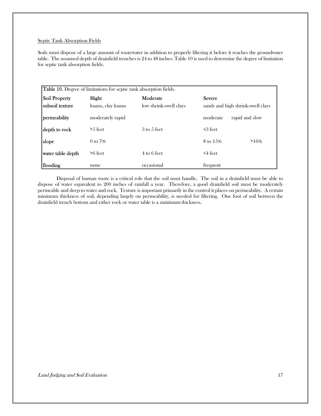### Septic Tank Absorption Fields

Soils must dispose of a large amount of wastewater in addition to properly filtering it before it reaches the groundwater table. The assumed depth of drainfield trenches is 24 to 48 inches. Table 10 is used to determine the degree of limitation for septic tank absorption fields.

| <b>Table 10.</b> Degree of limitations for septic tank absorption fields. |                   |                        |               |                                   |  |
|---------------------------------------------------------------------------|-------------------|------------------------|---------------|-----------------------------------|--|
| Soil Property                                                             | Slight            | Moderate               | <b>Severe</b> |                                   |  |
| subsoil texture                                                           | loams, clay loams | low shrink-swell clays |               | sands and high shrink-swell clays |  |
| permeability                                                              | moderately rapid  |                        | moderate      | rapid and slow                    |  |
| depth to rock                                                             | $>5$ feet         | $3$ to $5$ feet        | $\leq$ 3 feet |                                   |  |
| slope                                                                     | $0$ to 7%         |                        | 8 to 15%      | $>16\%$                           |  |
| water table depth                                                         | $>6$ feet         | 4 to 6 feet            | $\leq$ 4 feet |                                   |  |
| flooding                                                                  | none              | occasional             | frequent      |                                   |  |

Disposal of human waste is a critical role that the soil must handle. The soil in a drainfield must be able to dispose of water equivalent to 200 inches of rainfall a year. Therefore, a good drainfield soil must be moderately permeable and deep to water and rock. Texture is important primarily in the control it places on permeability. A certain minimum thickness of soil, depending largely on permeability, is needed for filtering. One foot of soil between the drainfield trench bottom and either rock or water table is a *minimum* thickness.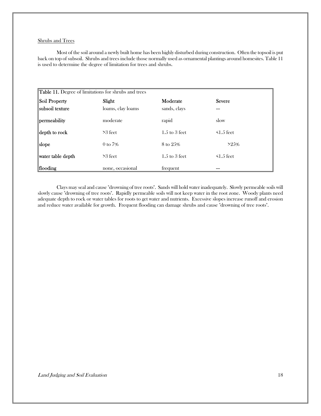### Shrubs and Trees

Most of the soil around a newly built home has been highly disturbed during construction. Often the topsoil is put back on top of subsoil. Shrubs and trees include those normally used as ornamental plantings around homesites. Table 11 is used to determine the degree of limitation for trees and shrubs.

| Table 11. Degree of limitations for shrubs and trees |                   |                 |                 |  |  |
|------------------------------------------------------|-------------------|-----------------|-----------------|--|--|
| Soil Property                                        | Slight            | Moderate        | <b>Severe</b>   |  |  |
| subsoil texture                                      | loams, clay loams | sands, clays    | ---             |  |  |
| permeability                                         | moderate          | rapid           | slow            |  |  |
| depth to rock                                        | $>3$ feet         | $1.5$ to 3 feet | $\leq 1.5$ feet |  |  |
| slope                                                | $0$ to 7%         | 8 to 25%        | $>25\%$         |  |  |
| water table depth                                    | $>3$ feet         | $1.5$ to 3 feet | $\leq$ 1.5 feet |  |  |
| flooding                                             | none, occasional  | frequent        |                 |  |  |

Clays may seal and cause "drowning of tree roots". Sands will hold water inadequately. Slowly permeable soils will slowly cause "drowning of tree roots". Rapidly permeable soils will not keep water in the root zone. Woody plants need adequate depth to rock or water tables for roots to get water and nutrients. Excessive slopes increase runoff and erosion and reduce water available for growth. Frequent flooding can damage shrubs and cause "drowning of tree roots".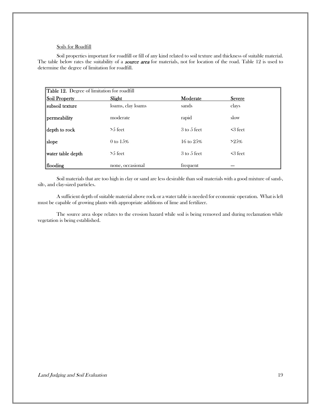### Soils for Roadfill

Soil properties important for roadfill or fill of any kind related to soil texture and thickness of suitable material. The table below rates the suitability of a **source area** for materials, not for location of the road. Table 12 is used to determine the degree of limitation for roadfill.

| Table 12. Degree of limitation for roadfill |                   |                 |               |  |
|---------------------------------------------|-------------------|-----------------|---------------|--|
| Soil Property                               | Slight            | Moderate        | <b>Severe</b> |  |
| subsoil texture                             | loams, clay loams | sands           | clays         |  |
| permeability                                | moderate          | rapid           | slow          |  |
| depth to rock                               | $>5$ feet         | $3$ to $5$ feet | $\leq$ 3 feet |  |
| slope                                       | 0 to $15%$        | 16 to 25%       | $>25\%$       |  |
| water table depth                           | $>5$ feet         | $3$ to 5 feet   | $\leq$ 8 feet |  |
| flooding                                    | none, occasional  | frequent        |               |  |

Soil materials that are too high in clay or sand are less desirable than soil materials with a good mixture of sand-, silt-, and clay-sized particles.

A sufficient depth of suitable material above rock or a water table is needed for economic operation. What is left must be capable of growing plants with appropriate additions of lime and fertilizer.

The source area slope relates to the erosion hazard while soil is being removed and during reclamation while vegetation is being established.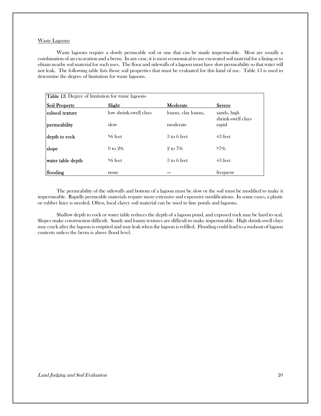### Waste Lagoons

Waste lagoons require a slowly permeable soil or one that can be made impermeable. Most are usually a combination of an excavation and a berm. In any case, it is most economical to use excavated soil material for a lining or to obtain nearby soil material for such uses. The floor and sidewalls of a lagoon must have slow permeability so that water will not leak. The following table lists those soil properties that must be evaluated for this kind of use. Table 13 is used to determine the degree of limitation for waste lagoons.

| <b>Table 13.</b> Degree of limitation for waste lagoons |                        |                    |                                   |
|---------------------------------------------------------|------------------------|--------------------|-----------------------------------|
| <b>Soil Property</b>                                    | Slight                 | Moderate           | <b>Severe</b>                     |
| subsoil texture                                         | low shrink-swell clays | loams, clay loams, | sands, high<br>shrink-swell clays |
| permeability                                            | slow                   | moderate           | rapid                             |
| depth to rock                                           | $>6$ feet              | $3$ to 6 feet      | $\leq$ 8 feet                     |
| slope                                                   | $0$ to $2\%$           | 2 to 7%            | $>7\%$                            |
| water table depth                                       | $>6$ feet              | 3 to 6 feet        | $\leq$ 8 feet                     |
| flooding                                                | none                   |                    | frequent                          |

The permeability of the sidewalls and bottom of a lagoon must be slow or the soil must be modified to make it impermeable. Rapidly permeable materials require more extensive and expensive modifications. In some cases, a plastic or rubber liner is needed. Often, local clayey soil material can be used to line ponds and lagoons.

Shallow depth to rock or water table reduces the depth of a lagoon pond, and exposed rock may be hard to seal. Slopes make construction difficult. Sandy and loamy textures are difficult to make impermeable. High shrink-swell clays may crack after the lagoon is emptied and may leak when the lagoon is refilled. Flooding could lead to a washout of lagoon contents unless the berm is above flood level.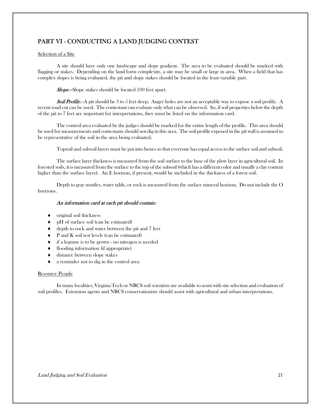## PART VI - CONDUCTING A LAND JUDGING CONTEST

### Selection of a Site

A site should have only one landscape and slope gradient. The area to be evaluated should be marked with flagging or stakes. Depending on the land form complexity, a site may be small or large in area. When a field that has complex slopes is being evaluated, the pit and slope stakes should be located in the least variable part.

Slope.--Slope stakes should be located 100 feet apart.

**Soil Profile.--**A pit should be 3 to 5 feet deep. Auger holes are not an acceptable way to expose a soil profile. A recent road cut can be used. The contestant can evaluate only what can be observed. So, if soil properties below the depth of the pit to 7 feet are important for interpretations, they must be listed on the information card.

The control area evaluated by the judges should be marked for the entire length of the profile. This area should be used for measurements and contestants should not dig in this area. The soil profile exposed in the pit wall is assumed to be representative of the soil in the area being evaluated.

Topsoil and subsoil layers must be put into boxes so that everyone has equal access to the surface soil and subsoil.

The surface layer thickness is measured from the soil surface to the base of the plow layer in agricultural soil. In forested soils, it is measured from the surface to the top of the subsoil (which has a different color and usually a clay content higher than the surface layer). An E horizon, if present, would be included in the thickness of a forest soil.

Depth to gray mottles, water table, or rock is measured from the surface mineral horizon. Do not include the O horizons.

### An information card at each pit should contain:

- $\bullet$  original soil thickness
- pH of surface soil (can be estimated)
- depth to rock and water between the pit and 7 feet
- ♦ P and K soil test levels (can be estimated)
- ♦ if a legume is to be grown no nitrogen is needed
- ♦ flooding information (if appropriate)
- distance between slope stakes
- a reminder not to dig in the control area

### Resource People

In many localities, Virginia Tech or NRCS soil scientists are available to assist with site selection and evaluation of soil profiles. Extension agents and NRCS conservationists should assist with agricultural and urban interpretations.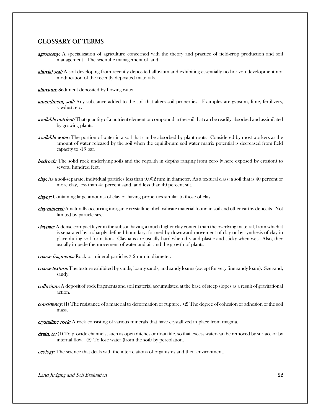## GLOSSARY OF TERMS

- **agronomy:** A specialization of agriculture concerned with the theory and practice of field-crop production and soil management. The scientific management of land.
- **alluvial soil:** A soil developing from recently deposited alluvium and exhibiting essentially no horizon development nor modification of the recently deposited materials.
- alluvium: Sediment deposited by flowing water.
- **amendment, soil:** Any substance added to the soil that alters soil properties. Examples are gypsum, lime, fertilizers, sawdust, etc.
- available nutrient: That quantity of a nutrient element or compound in the soil that can be readily absorbed and assimilated by growing plants.
- **available water:** The portion of water in a soil that can be absorbed by plant roots. Considered by most workers as the amount of water released by the soil when the equilibrium soil water matrix potential is decreased from field capacity to -15 bar.
- **bedrock:** The solid rock underlying soils and the regolith in depths ranging from zero (where exposed by erosion) to several hundred feet.
- clay: As a soil-separate, individual particles less than 0.002 mm in diameter. As a textural class: a soil that is 40 percent or more clay, less than 45 percent sand, and less than 40 percent silt.
- clayey: Containing large amounts of clay or having properties similar to those of clay.
- clay mineral: A naturally occurring inorganic crystalline phyllosilicate material found in soil and other earthy deposits. Not limited by particle size.
- claypan: A dense compact layer in the subsoil having a much higher clay content than the overlying material, from which it is separated by a sharply defined boundary: formed by downward movement of clay or by synthesis of clay in place during soil formation. Claypans are usually hard when dry and plastic and sticky when wet. Also, they usually impede the movement of water and air and the growth of plants.
- *coarse fragments:* Rock or mineral particles  $> 2$  mm in diameter.
- coarse texture: The texture exhibited by sands, loamy sands, and sandy loams (except for very fine sandy loam). See sand, sandy.
- colluvium: A deposit of rock fragments and soil material accumulated at the base of steep slopes as a result of gravitational action.
- consistency: (1) The resistance of a material to deformation or rupture. (2) The degree of cohesion or adhesion of the soil mass.
- **crystalline rock:** A rock consisting of various minerals that have crystallized in place from magma.
- $d$ rain, to: (1) To provide channels, such as open ditches or drain tile, so that excess water can be removed by surface or by internal flow. (2) To lose water (from the soil) by percolation.

**ecology:** The science that deals with the interrelations of organisms and their environment.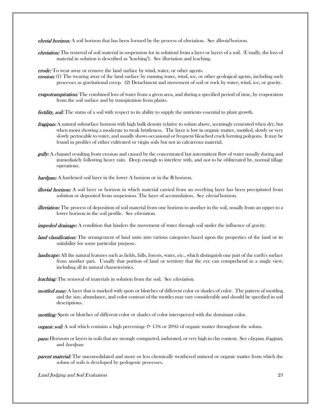**eluvial horizon:** A soil horizon that has been formed by the process of eluviation. See *illuvial* horizon.

**eluviation:** The removal of soil material in suspension (or in solution) from a layer or layers of a soil. (Usually, the loss of material in solution is described as "leaching"). See illuviation and leaching.

**erode:** To wear away or remove the land surface by wind, water, or other agents.

- **erosion:** (1) The wearing away of the land surface by running water, wind, ice, or other geological agents, including such processes as gravitational creep. (2) Detachment and movement of soil or rock by water, wind, ice, or gravity.
- **evapotranspiration:** The combined loss of water from a given area, and during a specified period of time, by evaporation from the soil surface and by transpiration from plants.
- **fertility, soil:** The status of a soil with respect to its ability to supply the nutrients essential to plant growth.
- fragipan: A natural subsurface horizon with high bulk density relative to solum above, seemingly cemented when dry, but when moist showing a moderate to weak brittleness. The layer is low in organic matter, mottled, slowly or very slowly permeable to water, and usually shows occasional or frequent bleached crack forming polygons. It may be found in profiles of either cultivated or virgin soils but not in calcareous material.
- gully: A channel resulting from erosion and caused by the concentrated but intermittent flow of water usually during and immediately following heavy rain. Deep enough to interfere with, and not to be obliterated by, normal tillage operations.
- hardpan: A hardened soil layer in the lower A horizon or in the B horizon.
- illuvial horizon: A soil layer or horizon in which material carried from an overlying layer has been precipitated from solution or deposited from suspension. The layer of accumulation. See *eluvial* horizon.
- illuviation: The process of deposition of soil material from one horizon to another in the soil, usually from an upper to a lower horizon in the soil profile. See *eluviation*.
- **impeded drainage:** A condition that hinders the movement of water through soil under the influence of gravity.
- **land classification:** The arrangement of land units into various categories based upon the properties of the land or its suitability for some particular purpose.
- **landscape:** All the natural features such as fields, hills, forests, water, etc., which distinguish one part of the earth's surface from another part. Usually that portion of land or territory that the eye can comprehend in a single view, including all its natural characteristics.
- leaching: The removal of materials in solution from the soil. See *eluviation*.
- **mottled zone:** A layer that is marked with spots or blotches of different color or shades of color. The pattern of mottling and the size, abundance, and color contrast of the mottles may vary considerably and should be specified in soil descriptions.
- mottling: Spots or blotches of different color or shades of color interspersed with the dominant color.
- **organic soil:** A soil which contains a high percentage  $(>15\%$  or 20%) of organic matter throughout the solum.
- **pans:** Horizons or layers in soils that are strongly compacted, indurated, or very high in clay content. See *claypan, fragipan*, and hardpan.
- **parent material:** The unconsolidated and more or less chemically weathered mineral or organic matter from which the solum of soils is developed by pedogenic processes.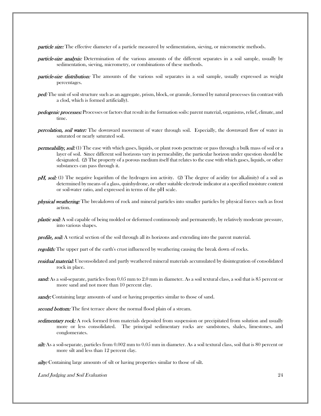**particle size:** The effective diameter of a particle measured by sedimentation, sieving, or micrometric methods.

- **particle-size analysis:** Determination of the various amounts of the different separates in a soil sample, usually by sedimentation, sieving, micrometry, or combinations of these methods.
- **particle-size distribution:** The amounts of the various soil separates in a soil sample, usually expressed as weight percentages.
- ped: The unit of soil structure such as an aggregate, prism, block, or granule, formed by natural processes (in contrast with a clod, which is formed artificially).
- pedogenic processes: Processes or factors that result in the formation soils: parent material, organisms, relief, climate, and time.
- **percolation, soil water:** The downward movement of water through soil. Especially, the downward flow of water in saturated or nearly saturated soil.
- **permeability, soil:** (1) The ease with which gases, liquids, or plant roots penetrate or pass through a bulk mass of soil or a layer of soil. Since different soil horizons vary in permeability, the particular horizon under question should be designated. (2) The property of a porous medium itself that relates to the ease with which gases, liquids, or other substances can pass through it.
- pH, soil: (1) The negative logarithm of the hydrogen ion activity. (2) The degree of acidity (or alkalinity) of a soil as determined by means of a glass, quinhydrone, or other suitable electrode indicator at a specified moisture content or soil-water ratio, and expressed in terms of the pH scale.
- physical weathering: The breakdown of rock and mineral particles into smaller particles by physical forces such as frost action.
- **plastic soil:** A soil capable of being molded or deformed continuously and permanently, by relatively moderate pressure, into various shapes.
- **profile, soil:** A vertical section of the soil through all its horizons and extending into the parent material.
- **regolith:** The upper part of the earth's crust influenced by weathering causing the break down of rocks.
- residual material: Unconsolidated and partly weathered mineral materials accumulated by disintegration of consolidated rock in place.
- sand: As a soil-separate, particles from 0.05 mm to 2.0 mm in diameter. As a soil textural class, a soil that is 85 percent or more sand and not more than 10 percent clay.
- sandy: Containing large amounts of sand or having properties similar to those of sand.
- second bottom: The first terrace above the normal flood plain of a stream.
- sedimentary rock: A rock formed from materials deposited from suspension or precipitated from solution and usually more or less consolidated. The principal sedimentary rocks are sandstones, shales, limestones, and conglomerates.
- silt: As a soil-separate, particles from 0.002 mm to 0.05 mm in diameter. As a soil textural class, soil that is 80 percent or more silt and less than 12 percent clay.
- silty: Containing large amounts of silt or having properties similar to those of silt.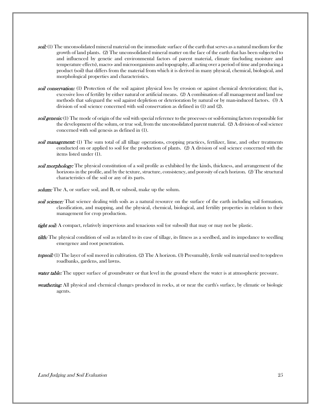- soil: (1) The unconsolidated mineral material on the immediate surface of the earth that serves as a natural medium for the growth of land plants. (2) The unconsolidated mineral matter on the face of the earth that has been subjected to and influenced by genetic and environmental factors of parent material, climate (including moisture and temperature effects), macro- and microorganisms and topography, all acting over a period of time and producing a product (soil) that differs from the material from which it is derived in many physical, chemical, biological, and morphological properties and characteristics.
- soil conservation: (1) Protection of the soil against physical loss by erosion or against chemical deterioration; that is, excessive loss of fertility by either natural or artificial means. (2) A combination of all management and land use methods that safeguard the soil against depletion or deterioration by natural or by man-induced factors. (3) A division of soil science concerned with soil conservation as defined in (1) and (2).
- soil genesis: (1) The mode of origin of the soil with special reference to the processes or soil-forming factors responsible for the development of the solum, or true soil, from the unconsolidated parent material. (2) A division of soil science concerned with soil genesis as defined in (1).
- soil management: (1) The sum total of all tillage operations, cropping practices, fertilizer, lime, and other treatments conducted on or applied to soil for the production of plants. (2) A division of soil science concerned with the items listed under (1).
- soil morphology: The physical constitution of a soil profile as exhibited by the kinds, thickness, and arrangement of the horizons in the profile, and by the texture, structure, consistency, and porosity of each horizon. (2) The structural characteristics of the soil or any of its parts.
- solum: The A, or surface soil, and B, or subsoil, make up the solum.
- soil science: That science dealing with soils as a natural resource on the surface of the earth including soil formation, classification, and mapping, and the physical, chemical, biological, and fertility properties in relation to their management for crop production.
- **tight soil:** A compact, relatively impervious and tenacious soil (or subsoil) that may or may not be plastic.
- tilth: The physical condition of soil as related to its ease of tillage, its fitness as a seedbed, and its impedance to seedling emergence and root penetration.
- topsoil: (1) The layer of soil moved in cultivation. (2) The A horizon. (3) Presumably, fertile soil material used to topdress roadbanks, gardens, and lawns.
- **water table:** The upper surface of groundwater or that level in the ground where the water is at atmospheric pressure.
- weathering: All physical and chemical changes produced in rocks, at or near the earth's surface, by climatic or biologic agents.